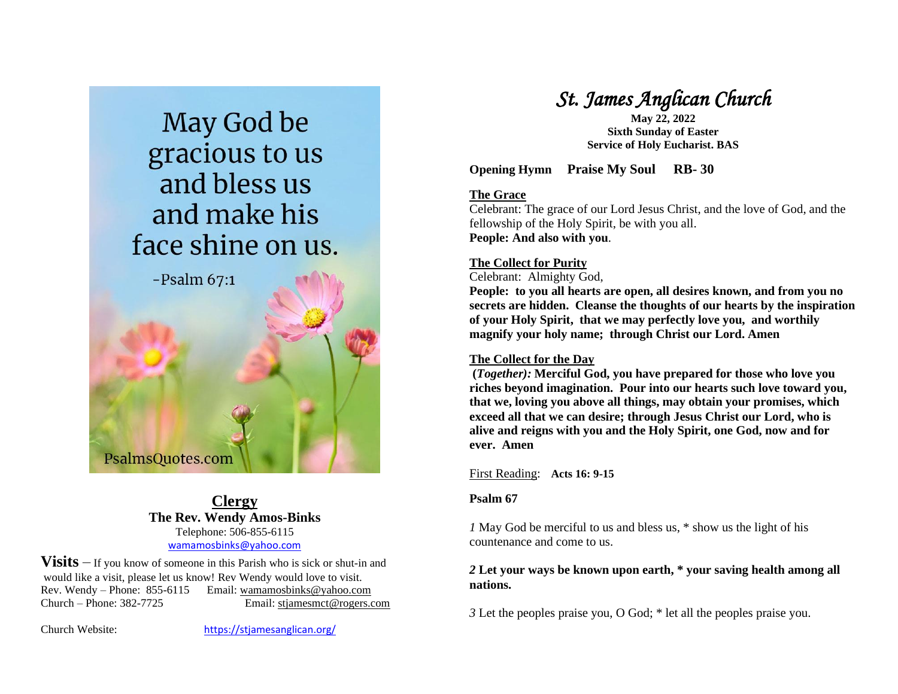

PsalmsQuotes.com

**Clergy The Rev. Wendy Amos-Binks** Telephone: 506-855-6115 [wamamosbinks@yahoo.com](mailto:wamamosbinks@yahoo.com)

**Visits** – If you know of someone in this Parish who is sick or shut-in and would like a visit, please let us know! Rev Wendy would love to visit. Rev. Wendy – Phone: 855-6115 Email: wamamosbinks@yahoo.com Church – Phone: 382-7725 Email: [stjamesmct@rogers.com](mailto:stjamesmct@rogers.com)

Church Website: <https://stjamesanglican.org/>

# *St. James Anglican Church*

**May 22, 2022 Sixth Sunday of Easter Service of Holy Eucharist. BAS**

**Opening Hymn Praise My Soul RB- 30**

## **The Grace**

Celebrant: The grace of our Lord Jesus Christ, and the love of God, and the fellowship of the Holy Spirit, be with you all. **People: And also with you**.

## **The Collect for Purity**

Celebrant: Almighty God,

**People: to you all hearts are open, all desires known, and from you no secrets are hidden. Cleanse the thoughts of our hearts by the inspiration of your Holy Spirit, that we may perfectly love you, and worthily magnify your holy name; through Christ our Lord. Amen**

## **The Collect for the Day**

**(***Together):* **Merciful God, you have prepared for those who love you riches beyond imagination. Pour into our hearts such love toward you, that we, loving you above all things, may obtain your promises, which exceed all that we can desire; through Jesus Christ our Lord, who is alive and reigns with you and the Holy Spirit, one God, now and for ever. Amen**

First Reading: **Acts 16: 9-15**

## **Psalm 67**

*1* May God be merciful to us and bless us, \* show us the light of his countenance and come to us.

## *2* **Let your ways be known upon earth, \* your saving health among all nations.**

*3* Let the peoples praise you, O God; \* let all the peoples praise you.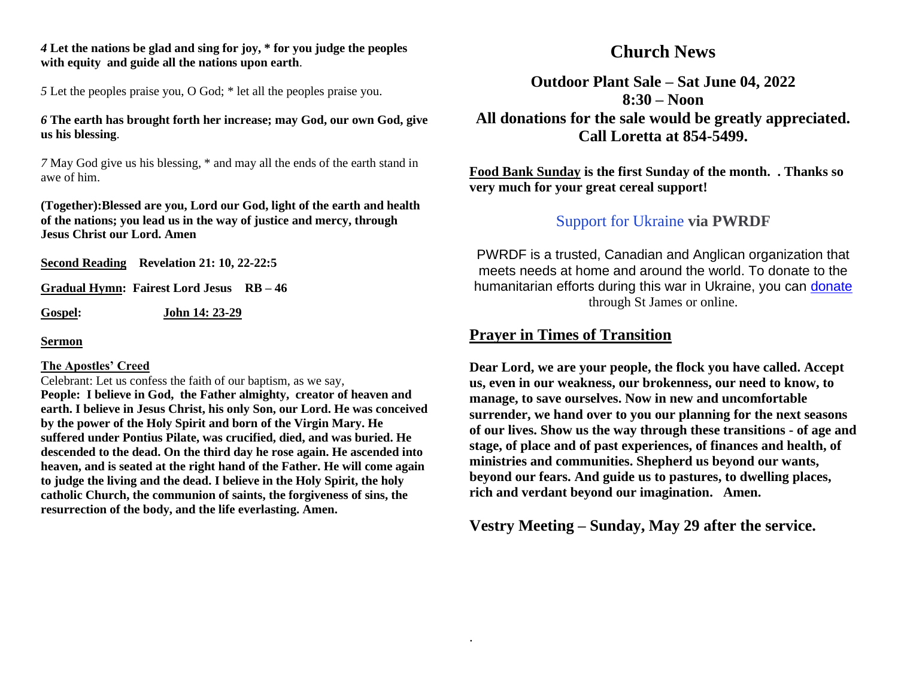*4* **Let the nations be glad and sing for joy, \* for you judge the peoples with equity and guide all the nations upon earth**.

*5* Let the peoples praise you, O God; \* let all the peoples praise you.

#### *6* **The earth has brought forth her increase; may God, our own God, give us his blessing**.

*7* May God give us his blessing, \* and may all the ends of the earth stand in awe of him.

**(Together):Blessed are you, Lord our God, light of the earth and health of the nations; you lead us in the way of justice and mercy, through Jesus Christ our Lord. Amen**

**Second Reading Revelation 21: 10, 22-22:5**

**Gradual Hymn: Fairest Lord Jesus RB – 46**

**Gospel: John 14: 23-29**

**Sermon**

#### **The Apostles' Creed**

Celebrant: Let us confess the faith of our baptism, as we say, **People: I believe in God, the Father almighty, creator of heaven and earth. I believe in Jesus Christ, his only Son, our Lord. He was conceived by the power of the Holy Spirit and born of the Virgin Mary. He suffered under Pontius Pilate, was crucified, died, and was buried. He descended to the dead. On the third day he rose again. He ascended into heaven, and is seated at the right hand of the Father. He will come again to judge the living and the dead. I believe in the Holy Spirit, the holy catholic Church, the communion of saints, the forgiveness of sins, the resurrection of the body, and the life everlasting. Amen.**

## **Church News**

**Outdoor Plant Sale – Sat June 04, 2022 8:30 – Noon All donations for the sale would be greatly appreciated. Call Loretta at 854-5499.**

**Food Bank Sunday is the first Sunday of the month. . Thanks so very much for your great cereal support!**

## Support for Ukraine **via PWRDF**

PWRDF is a trusted, Canadian and Anglican organization that meets needs at home and around the world. To donate to the humanitarian efforts during this war in Ukraine, you can [donate](https://u2325982.ct.sendgrid.net/ls/click?upn=BcS2R4zdjHNbLALMXVFDhauFO81hyDLsjvJSnPlBu65u-2Bhc0jtXUxcooyTv0rgefKoMieYRSKBJONrElpXs9mr8CSiIQtZI-2FRAuEbyLpMCYWhgUuLfZMtb59GJkeomfwf0tk_aZJQFQu3S9VkT2Mj0r2xCEHrAl2cMTFcu-2BHlZG6f3iqyaDKppemj7-2FCbNThpbFXR7EvpuPEOSyQJkBdDsJsPoWrepgd1fXQzsBqBDepG3euhEZwRBP32CKvJG69aOEf1NMnqC4oll0ZjC5D2vYI1-2F1xcxwz-2BZgiFQdDKf28NjN0jAF-2FI7Nu9EmJEA9oRp44Og3FB7EcX94AIQzQeksW1xpNCAmxfFJ-2FfOICFTygAy6v42ZlaQn0rYBOXvnYBKKz8mo3Ca-2FkRpoxhUiBtX6iJzXqZOyHz0zzbzvp3-2FuENcKHENwyxdEnCZ3rsfSxtVM3h) through St James or online.

## **Prayer in Times of Transition**

.

**Dear Lord, we are your people, the flock you have called. Accept us, even in our weakness, our brokenness, our need to know, to manage, to save ourselves. Now in new and uncomfortable surrender, we hand over to you our planning for the next seasons of our lives. Show us the way through these transitions - of age and stage, of place and of past experiences, of finances and health, of ministries and communities. Shepherd us beyond our wants, beyond our fears. And guide us to pastures, to dwelling places, rich and verdant beyond our imagination. Amen.**

**Vestry Meeting – Sunday, May 29 after the service.**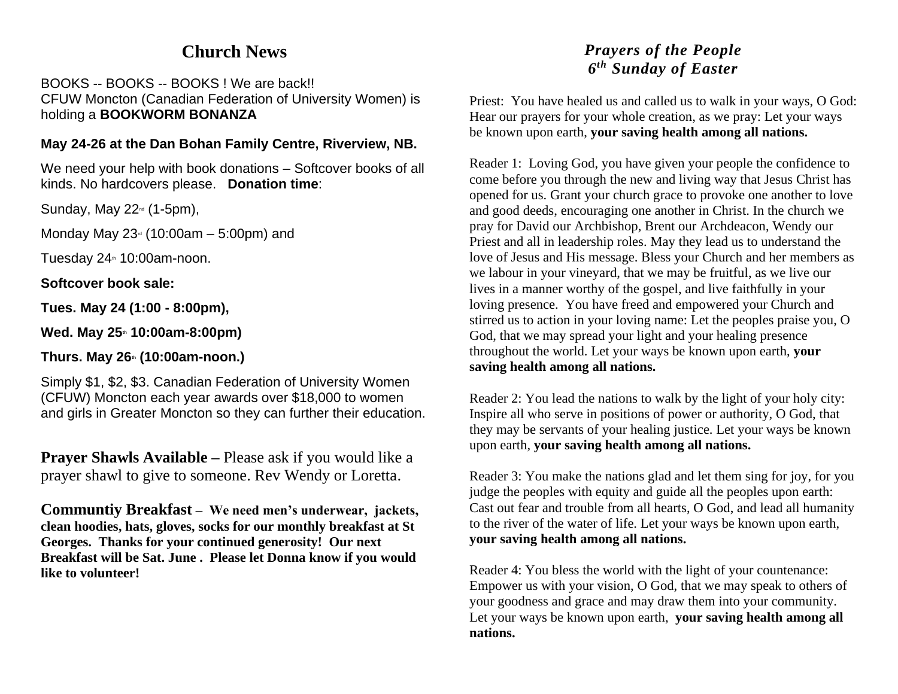## **Church News**

BOOKS -- BOOKS -- BOOKS ! We are back!! CFUW Moncton (Canadian Federation of University Women) is holding a **BOOKWORM BONANZA** 

## **May 24-26 at the Dan Bohan Family Centre, Riverview, NB.**

We need your help with book donations – Softcover books of all kinds. No hardcovers please. **Donation time**:

Sunday, May  $22^{\omega}$  (1-5pm),

Monday May  $23<sup>a</sup>$  (10:00am – 5:00pm) and

Tuesday  $24$ <sup>th</sup> 10:00am-noon.

**Softcover book sale:** 

**Tues. May 24 (1:00 - 8:00pm),** 

**Wed. May 25th 10:00am-8:00pm)** 

## **Thurs. May 26th (10:00am-noon.)**

Simply \$1, \$2, \$3. Canadian Federation of University Women (CFUW) Moncton each year awards over \$18,000 to women and girls in Greater Moncton so they can further their education.

**Prayer Shawls Available –** Please ask if you would like a prayer shawl to give to someone. Rev Wendy or Loretta.

**Communtiy Breakfast – We need men's underwear, jackets, clean hoodies, hats, gloves, socks for our monthly breakfast at St Georges. Thanks for your continued generosity! Our next Breakfast will be Sat. June . Please let Donna know if you would like to volunteer!**

## *Prayers of the People 6 th Sunday of Easter*

Priest: You have healed us and called us to walk in your ways, O God: Hear our prayers for your whole creation, as we pray: Let your ways be known upon earth, **your saving health among all nations.**

Reader 1: Loving God, you have given your people the confidence to come before you through the new and living way that Jesus Christ has opened for us. Grant your church grace to provoke one another to love and good deeds, encouraging one another in Christ. In the church we pray for David our Archbishop, Brent our Archdeacon, Wendy our Priest and all in leadership roles. May they lead us to understand the love of Jesus and His message. Bless your Church and her members as we labour in your vineyard, that we may be fruitful, as we live our lives in a manner worthy of the gospel, and live faithfully in your loving presence. You have freed and empowered your Church and stirred us to action in your loving name: Let the peoples praise you, O God, that we may spread your light and your healing presence throughout the world. Let your ways be known upon earth, **your saving health among all nations.**

Reader 2: You lead the nations to walk by the light of your holy city: Inspire all who serve in positions of power or authority, O God, that they may be servants of your healing justice. Let your ways be known upon earth, **your saving health among all nations.**

Reader 3: You make the nations glad and let them sing for joy, for you judge the peoples with equity and guide all the peoples upon earth: Cast out fear and trouble from all hearts, O God, and lead all humanity to the river of the water of life. Let your ways be known upon earth, **your saving health among all nations.**

Reader 4: You bless the world with the light of your countenance: Empower us with your vision, O God, that we may speak to others of your goodness and grace and may draw them into your community. Let your ways be known upon earth, **your saving health among all nations.**